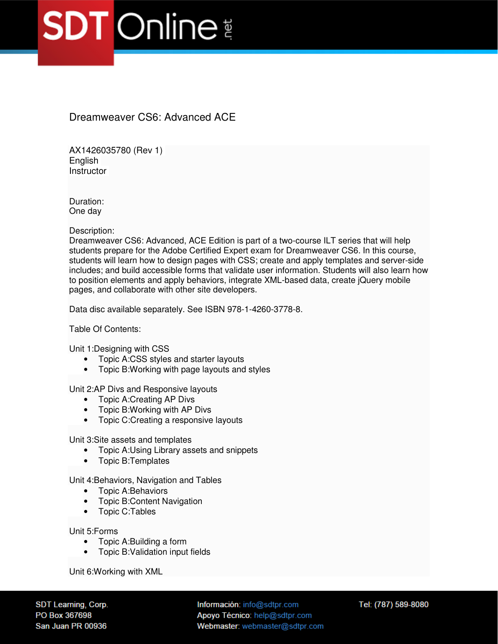## **SDT** Online

Dreamweaver CS6: Advanced ACE

AX1426035780 (Rev 1) **English Instructor** 

Duration: One day

Description:

Dreamweaver CS6: Advanced, ACE Edition is part of a two-course ILT series that will help students prepare for the Adobe Certified Expert exam for Dreamweaver CS6. In this course, students will learn how to design pages with CSS; create and apply templates and server-side includes; and build accessible forms that validate user information. Students will also learn how to position elements and apply behaviors, integrate XML-based data, create jQuery mobile pages, and collaborate with other site developers.

Data disc available separately. See ISBN 978-1-4260-3778-8.

Table Of Contents:

Unit 1:Designing with CSS

- Topic A:CSS styles and starter layouts
- Topic B:Working with page layouts and styles

Unit 2:AP Divs and Responsive layouts

- Topic A:Creating AP Divs
- Topic B:Working with AP Divs
- Topic C:Creating a responsive layouts

Unit 3:Site assets and templates

- Topic A:Using Library assets and snippets
- Topic B:Templates

Unit 4:Behaviors, Navigation and Tables

- Topic A:Behaviors
- Topic B:Content Navigation
- Topic C:Tables

Unit 5:Forms

- Topic A:Building a form
- Topic B:Validation input fields

Unit 6:Working with XML

SDT Learning, Corp. PO Box 367698 San Juan PR 00936

Información: info@sdtpr.com Apoyo Técnico: help@sdtpr.com Webmaster: webmaster@sdtpr.com Tel: (787) 589-8080